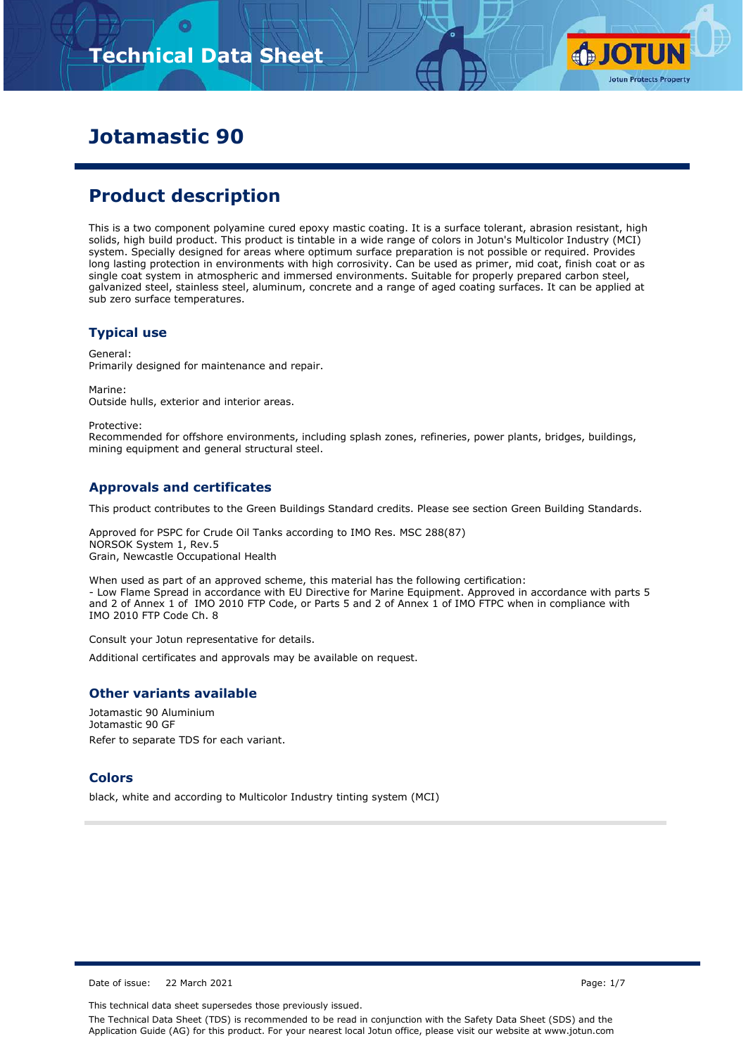# **Technical Data Sheet**



## **Jotamastic 90**

## **Product description**

This is a two component polyamine cured epoxy mastic coating. It is a surface tolerant, abrasion resistant, high solids, high build product. This product is tintable in a wide range of colors in Jotun's Multicolor Industry (MCI) system. Specially designed for areas where optimum surface preparation is not possible or required. Provides long lasting protection in environments with high corrosivity. Can be used as primer, mid coat, finish coat or as single coat system in atmospheric and immersed environments. Suitable for properly prepared carbon steel, galvanized steel, stainless steel, aluminum, concrete and a range of aged coating surfaces. It can be applied at sub zero surface temperatures.

#### **Typical use**

General: Primarily designed for maintenance and repair.

Marine: Outside hulls, exterior and interior areas.

Protective:

Recommended for offshore environments, including splash zones, refineries, power plants, bridges, buildings, mining equipment and general structural steel.

#### **Approvals and certificates**

This product contributes to the Green Buildings Standard credits. Please see section Green Building Standards.

Approved for PSPC for Crude Oil Tanks according to IMO Res. MSC 288(87) NORSOK System 1, Rev.5 Grain, Newcastle Occupational Health

When used as part of an approved scheme, this material has the following certification: - Low Flame Spread in accordance with EU Directive for Marine Equipment. Approved in accordance with parts 5 and 2 of Annex 1 of IMO 2010 FTP Code, or Parts 5 and 2 of Annex 1 of IMO FTPC when in compliance with IMO 2010 FTP Code Ch. 8

Consult your Jotun representative for details.

Additional certificates and approvals may be available on request.

#### **Other variants available**

Jotamastic 90 Aluminium Jotamastic 90 GF Refer to separate TDS for each variant.

#### **Colors**

black, white and according to Multicolor Industry tinting system (MCI)

Date of issue: 22 March 2021 Page: 1/7

This technical data sheet supersedes those previously issued.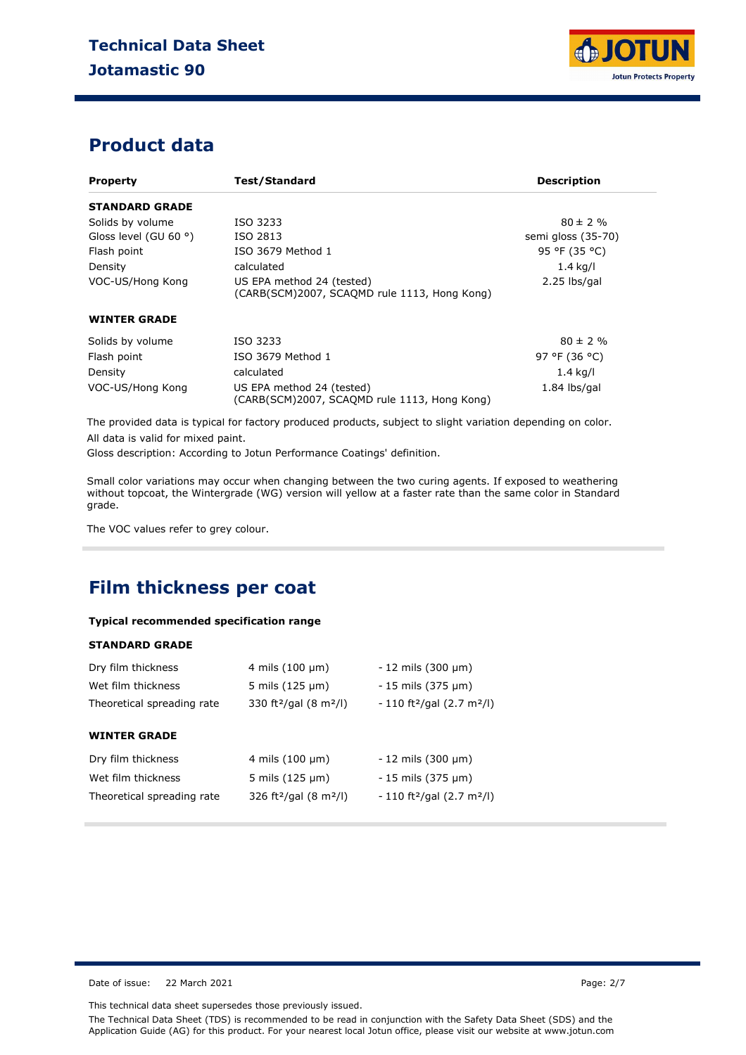

### **Product data**

| <b>Property</b>       | <b>Test/Standard</b>                                                                        | <b>Description</b> |
|-----------------------|---------------------------------------------------------------------------------------------|--------------------|
| <b>STANDARD GRADE</b> |                                                                                             |                    |
| Solids by volume      | ISO 3233                                                                                    | $80 \pm 2 \%$      |
| Gloss level (GU 60 °) | ISO 2813                                                                                    | semi gloss (35-70) |
| Flash point           | ISO 3679 Method 1                                                                           | 95 °F (35 °C)      |
| Density               | calculated                                                                                  | $1.4$ kg/l         |
| VOC-US/Hong Kong      | US EPA method 24 (tested)<br>$2.25$ lbs/gal<br>(CARB(SCM)2007, SCAOMD rule 1113, Hong Kong) |                    |
| <b>WINTER GRADE</b>   |                                                                                             |                    |
| Solids by volume      | ISO 3233                                                                                    | $80 \pm 2 \%$      |
| Flash point           | ISO 3679 Method 1                                                                           | 97 °F (36 °C)      |
| Density               | calculated                                                                                  | $1.4$ kg/l         |
| VOC-US/Hong Kong      | US EPA method 24 (tested)<br>(CARB(SCM)2007, SCAOMD rule 1113, Hong Kong)                   | $1.84$ lbs/gal     |

The provided data is typical for factory produced products, subject to slight variation depending on color. All data is valid for mixed paint.

Gloss description: According to Jotun Performance Coatings' definition.

Small color variations may occur when changing between the two curing agents. If exposed to weathering without topcoat, the Wintergrade (WG) version will yellow at a faster rate than the same color in Standard grade.

The VOC values refer to grey colour.

### **Film thickness per coat**

#### **Typical recommended specification range**

#### **STANDARD GRADE**

| Dry film thickness<br>Wet film thickness<br>Theoretical spreading rate | 4 mils $(100 \mu m)$<br>5 mils $(125 \mu m)$<br>330 ft <sup>2</sup> /gal (8 m <sup>2</sup> /l) | $-12$ mils (300 $\mu$ m)<br>$-15$ mils (375 $\mu$ m)<br>$-110$ ft <sup>2</sup> /gal (2.7 m <sup>2</sup> /l) |
|------------------------------------------------------------------------|------------------------------------------------------------------------------------------------|-------------------------------------------------------------------------------------------------------------|
| <b>WINTER GRADE</b>                                                    |                                                                                                |                                                                                                             |
| Dry film thickness                                                     | 4 mils $(100 \mu m)$                                                                           | $-12$ mils (300 $\mu$ m)                                                                                    |
| Wet film thickness                                                     | 5 mils $(125 \mu m)$                                                                           | $-15$ mils (375 $\mu$ m)                                                                                    |
| Theoretical spreading rate                                             | 326 ft <sup>2</sup> /gal (8 m <sup>2</sup> /l)                                                 | $-110$ ft <sup>2</sup> /gal (2.7 m <sup>2</sup> /l)                                                         |

Date of issue: 22 March 2021 **Page: 2/7** 

This technical data sheet supersedes those previously issued.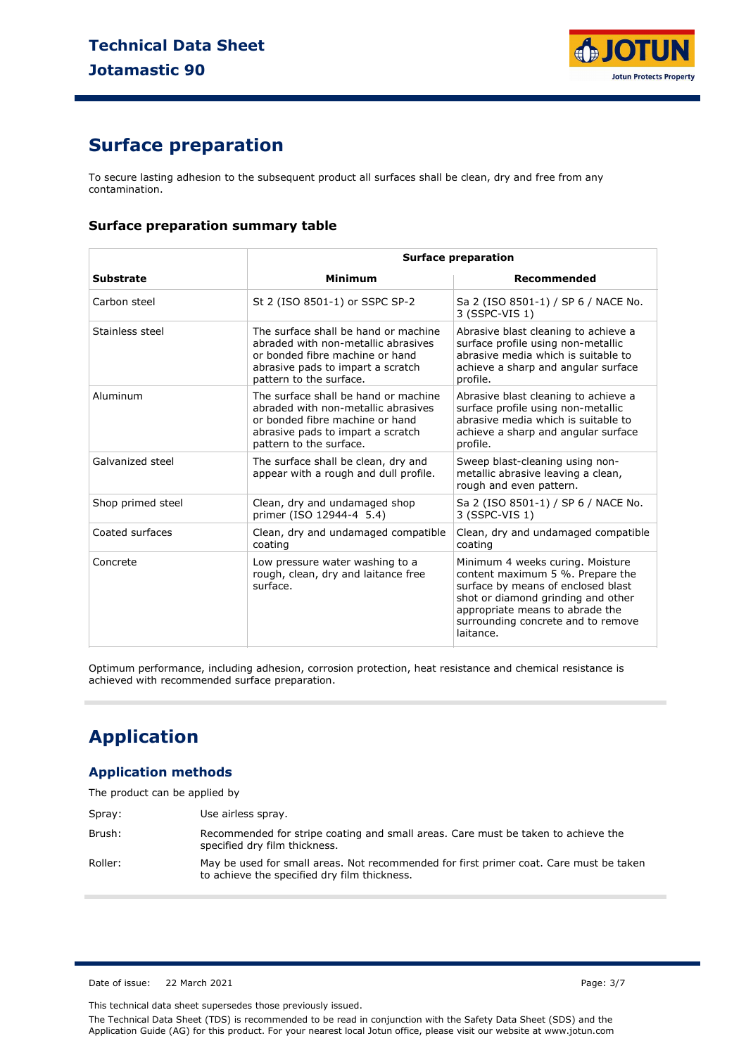

## **Surface preparation**

To secure lasting adhesion to the subsequent product all surfaces shall be clean, dry and free from any contamination.

#### **Surface preparation summary table**

|                   | <b>Surface preparation</b>                                                                                                                                                     |                                                                                                                                                                                                                                        |  |
|-------------------|--------------------------------------------------------------------------------------------------------------------------------------------------------------------------------|----------------------------------------------------------------------------------------------------------------------------------------------------------------------------------------------------------------------------------------|--|
| <b>Substrate</b>  | <b>Minimum</b>                                                                                                                                                                 | Recommended                                                                                                                                                                                                                            |  |
| Carbon steel      | St 2 (ISO 8501-1) or SSPC SP-2                                                                                                                                                 | Sa 2 (ISO 8501-1) / SP 6 / NACE No.<br>3 (SSPC-VIS 1)                                                                                                                                                                                  |  |
| Stainless steel   | The surface shall be hand or machine<br>abraded with non-metallic abrasives<br>or bonded fibre machine or hand<br>abrasive pads to impart a scratch<br>pattern to the surface. | Abrasive blast cleaning to achieve a<br>surface profile using non-metallic<br>abrasive media which is suitable to<br>achieve a sharp and angular surface<br>profile.                                                                   |  |
| Aluminum          | The surface shall be hand or machine<br>abraded with non-metallic abrasives<br>or bonded fibre machine or hand<br>abrasive pads to impart a scratch<br>pattern to the surface. | Abrasive blast cleaning to achieve a<br>surface profile using non-metallic<br>abrasive media which is suitable to<br>achieve a sharp and angular surface<br>profile.                                                                   |  |
| Galvanized steel  | The surface shall be clean, dry and<br>appear with a rough and dull profile.                                                                                                   | Sweep blast-cleaning using non-<br>metallic abrasive leaving a clean,<br>rough and even pattern.                                                                                                                                       |  |
| Shop primed steel | Clean, dry and undamaged shop<br>primer (ISO 12944-4 5.4)                                                                                                                      | Sa 2 (ISO 8501-1) / SP 6 / NACE No.<br>3 (SSPC-VIS 1)                                                                                                                                                                                  |  |
| Coated surfaces   | Clean, dry and undamaged compatible<br>coating                                                                                                                                 | Clean, dry and undamaged compatible<br>coating                                                                                                                                                                                         |  |
| Concrete          | Low pressure water washing to a<br>rough, clean, dry and laitance free<br>surface.                                                                                             | Minimum 4 weeks curing. Moisture<br>content maximum 5 %. Prepare the<br>surface by means of enclosed blast<br>shot or diamond grinding and other<br>appropriate means to abrade the<br>surrounding concrete and to remove<br>laitance. |  |

Optimum performance, including adhesion, corrosion protection, heat resistance and chemical resistance is achieved with recommended surface preparation.

## **Application**

#### **Application methods**

The product can be applied by

| Spray:  | Use airless spray.                                                                                                                     |
|---------|----------------------------------------------------------------------------------------------------------------------------------------|
| Brush:  | Recommended for stripe coating and small areas. Care must be taken to achieve the<br>specified dry film thickness.                     |
| Roller: | May be used for small areas. Not recommended for first primer coat. Care must be taken<br>to achieve the specified dry film thickness. |

Date of issue: 22 March 2021 **Page: 3/7** 

This technical data sheet supersedes those previously issued.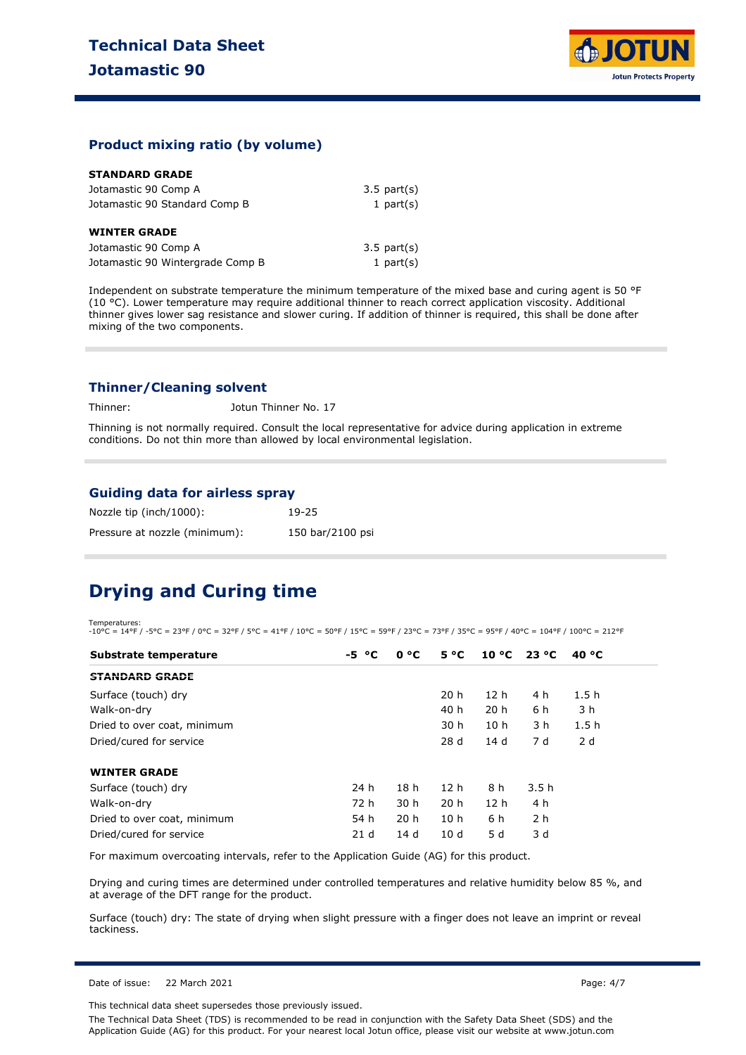

#### **Product mixing ratio (by volume)**

| <b>STANDARD GRADE</b> |  |  |  |  |
|-----------------------|--|--|--|--|
|-----------------------|--|--|--|--|

| Jotamastic 90 Comp A             | $3.5$ part $(s)$ |
|----------------------------------|------------------|
| Jotamastic 90 Standard Comp B    | 1 part $(s)$     |
| <b>WINTER GRADE</b>              |                  |
| Jotamastic 90 Comp A             | $3.5$ part $(s)$ |
| Jotamastic 90 Wintergrade Comp B | 1 part $(s)$     |

Independent on substrate temperature the minimum temperature of the mixed base and curing agent is 50 °F (10 °C). Lower temperature may require additional thinner to reach correct application viscosity. Additional thinner gives lower sag resistance and slower curing. If addition of thinner is required, this shall be done after mixing of the two components.

#### **Thinner/Cleaning solvent**

Thinner: Jotun Thinner No. 17

Thinning is not normally required. Consult the local representative for advice during application in extreme conditions. Do not thin more than allowed by local environmental legislation.

#### **Guiding data for airless spray**

| Nozzle tip (inch/1000):       | 19-25            |
|-------------------------------|------------------|
| Pressure at nozzle (minimum): | 150 bar/2100 psi |

### **Drying and Curing time**

Temperatures:  $-10\degree$ C = 14°F /  $-5\degree$ C = 23°F / 0°C = 32°F / 5°C = 41°F / 10°C = 50°F / 15°C = 59°F / 23°C = 73°F / 35°C = 95°F / 40°C = 104°F / 100°C = 212°F

| Substrate temperature       | $-5 °C$         | 0 °C            | $5^{\circ}C$    | $10^{\circ}$ C 23 $^{\circ}$ C |      | 40 °C            |
|-----------------------------|-----------------|-----------------|-----------------|--------------------------------|------|------------------|
| <b>STANDARD GRADE</b>       |                 |                 |                 |                                |      |                  |
| Surface (touch) dry         |                 |                 | 20 <sub>h</sub> | 12 <sub>h</sub>                | 4 h  | 1.5 <sub>h</sub> |
| Walk-on-dry                 |                 |                 | 40 h            | 20 <sub>h</sub>                | 6 h  | 3 h              |
| Dried to over coat, minimum |                 |                 | 30 h            | 10 <sub>h</sub>                | 3 h  | 1.5h             |
| Dried/cured for service     |                 |                 | 28d             | 14 d                           | 7 d  | 2 d              |
| <b>WINTER GRADE</b>         |                 |                 |                 |                                |      |                  |
| Surface (touch) dry         | 24 h            | 18 <sub>h</sub> | 12 h            | 8 h                            | 3.5h |                  |
| Walk-on-dry                 | 72 h            | 30 <sub>h</sub> | 20 <sub>h</sub> | 12 <sub>h</sub>                | 4 h  |                  |
| Dried to over coat, minimum | 54 h            | 20 <sub>h</sub> | 10 <sub>h</sub> | 6 h                            | 2 h  |                  |
| Dried/cured for service     | 21 <sub>d</sub> | 14 d            | 10d             | 5 d                            | 3 d  |                  |

For maximum overcoating intervals, refer to the Application Guide (AG) for this product.

Drying and curing times are determined under controlled temperatures and relative humidity below 85 %, and at average of the DFT range for the product.

Surface (touch) dry: The state of drying when slight pressure with a finger does not leave an imprint or reveal tackiness.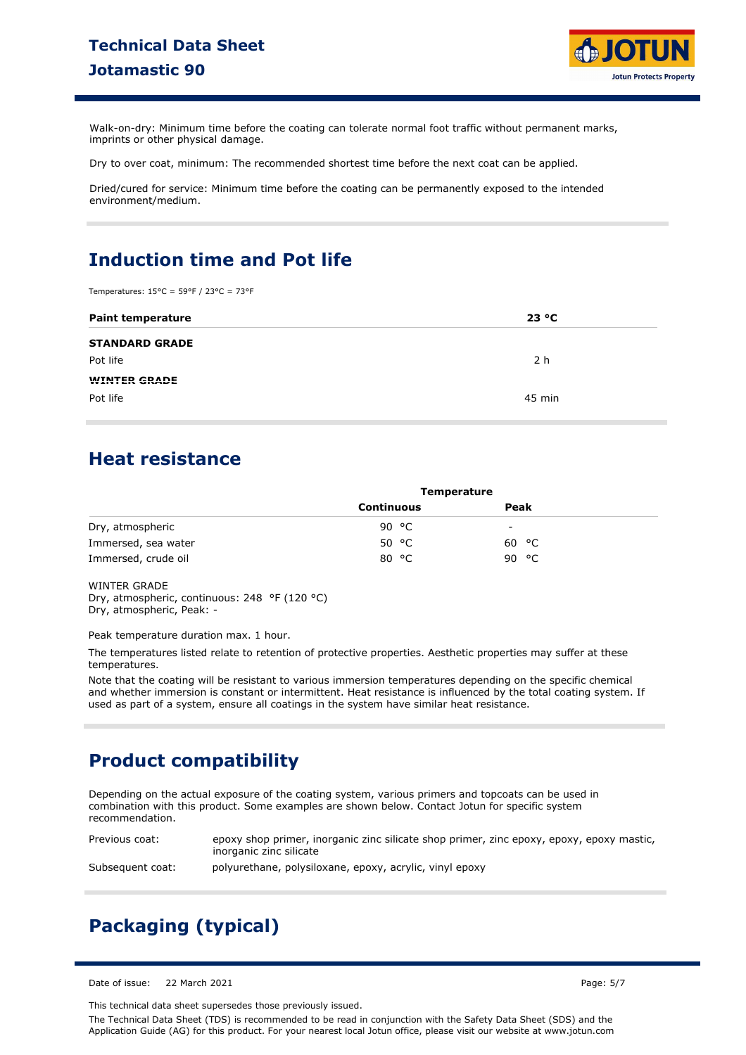### **Technical Data Sheet Jotamastic 90**



Walk-on-dry: Minimum time before the coating can tolerate normal foot traffic without permanent marks, imprints or other physical damage.

Dry to over coat, minimum: The recommended shortest time before the next coat can be applied.

Dried/cured for service: Minimum time before the coating can be permanently exposed to the intended environment/medium.

### **Induction time and Pot life**

Temperatures: 15°C = 59°F / 23°C = 73°F

| <b>Paint temperature</b> | 23 °C    |
|--------------------------|----------|
| <b>STANDARD GRADE</b>    |          |
| Pot life                 | 2 h      |
| <b>WINTER GRADE</b>      |          |
| Pot life                 | $45$ min |

### **Heat resistance**

|                     | <b>Temperature</b> |          |  |
|---------------------|--------------------|----------|--|
|                     | Continuous         | Peak     |  |
| Dry, atmospheric    | ⊸c<br>90           | -        |  |
| Immersed, sea water | 50 °C              | 60 °C    |  |
| Immersed, crude oil | °C<br>80           | ⊸c<br>90 |  |

WINTER GRADE

Dry, atmospheric, continuous: 248 °F (120 °C) Dry, atmospheric, Peak: -

Peak temperature duration max. 1 hour.

The temperatures listed relate to retention of protective properties. Aesthetic properties may suffer at these temperatures.

Note that the coating will be resistant to various immersion temperatures depending on the specific chemical and whether immersion is constant or intermittent. Heat resistance is influenced by the total coating system. If used as part of a system, ensure all coatings in the system have similar heat resistance.

### **Product compatibility**

Depending on the actual exposure of the coating system, various primers and topcoats can be used in combination with this product. Some examples are shown below. Contact Jotun for specific system recommendation.

Previous coat: epoxy shop primer, inorganic zinc silicate shop primer, zinc epoxy, epoxy, epoxy mastic, inorganic zinc silicate

Subsequent coat: polyurethane, polysiloxane, epoxy, acrylic, vinyl epoxy

# **Packaging (typical)**

Date of issue: 22 March 2021 Page: 5/7

This technical data sheet supersedes those previously issued.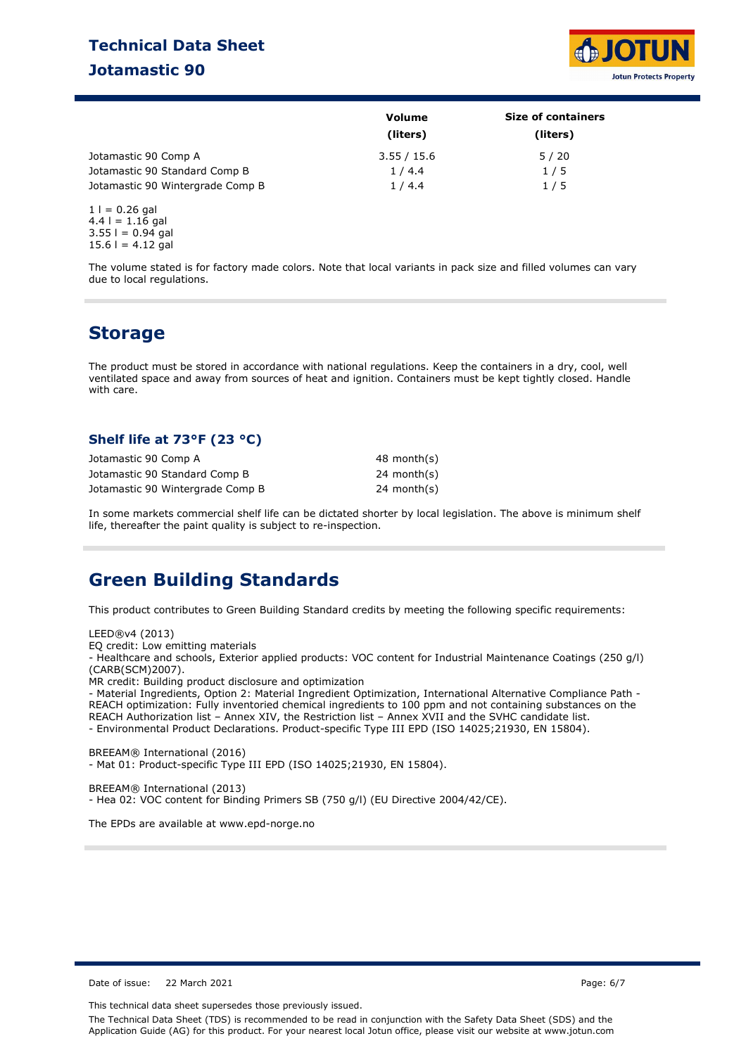### **Technical Data Sheet Jotamastic 90**



|                                  | Volume      | <b>Size of containers</b> |
|----------------------------------|-------------|---------------------------|
|                                  | (liters)    | (liters)                  |
| Jotamastic 90 Comp A             | 3.55 / 15.6 | 5/20                      |
| Jotamastic 90 Standard Comp B    | 1/4.4       | 1/5                       |
| Jotamastic 90 Wintergrade Comp B | 1/4.4       | 1/5                       |

 $1 = 0.26$  gal  $4.4$  l = 1.16 gal  $3.55 = 0.94$  gal  $15.6$  l = 4.12 gal

The volume stated is for factory made colors. Note that local variants in pack size and filled volumes can vary due to local regulations.

### **Storage**

The product must be stored in accordance with national regulations. Keep the containers in a dry, cool, well ventilated space and away from sources of heat and ignition. Containers must be kept tightly closed. Handle with care.

#### **Shelf life at 73°F (23 °C)**

| Jotamastic 90 Comp A             | 48 month(s)   |
|----------------------------------|---------------|
| Jotamastic 90 Standard Comp B    | 24 month(s)   |
| Jotamastic 90 Wintergrade Comp B | $24$ month(s) |

In some markets commercial shelf life can be dictated shorter by local legislation. The above is minimum shelf life, thereafter the paint quality is subject to re-inspection.

### **Green Building Standards**

This product contributes to Green Building Standard credits by meeting the following specific requirements:

LEED®v4 (2013)

EQ credit: Low emitting materials

- Healthcare and schools, Exterior applied products: VOC content for Industrial Maintenance Coatings (250 g/l) (CARB(SCM)2007).

MR credit: Building product disclosure and optimization

- Material Ingredients, Option 2: Material Ingredient Optimization, International Alternative Compliance Path - REACH optimization: Fully inventoried chemical ingredients to 100 ppm and not containing substances on the REACH Authorization list – Annex XIV, the Restriction list – Annex XVII and the SVHC candidate list. - Environmental Product Declarations. Product-specific Type III EPD (ISO 14025;21930, EN 15804).

BREEAM® International (2016) - Mat 01: Product-specific Type III EPD (ISO 14025;21930, EN 15804).

BREEAM® International (2013) - Hea 02: VOC content for Binding Primers SB (750 g/l) (EU Directive 2004/42/CE).

The EPDs are available at www.epd-norge.no

Date of issue: 22 March 2021 Page: 6/7

This technical data sheet supersedes those previously issued.